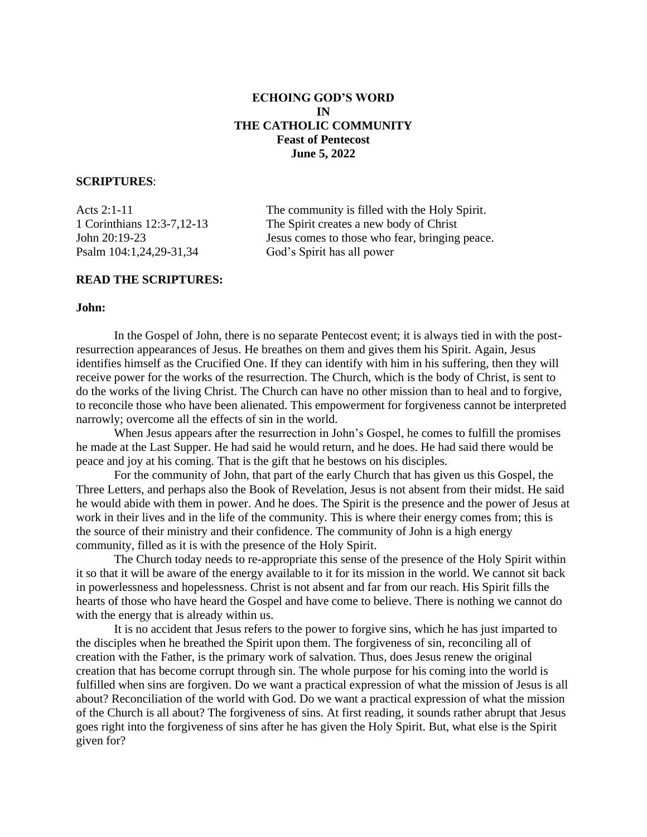# **ECHOING GOD'S WORD IN THE CATHOLIC COMMUNITY Feast of Pentecost June 5, 2022**

## **SCRIPTURES**:

Psalm 104:1,24,29-31,34 God's Spirit has all power

Acts 2:1-11 The community is filled with the Holy Spirit. 1 Corinthians 12:3-7,12-13 The Spirit creates a new body of Christ John 20:19-23 Jesus comes to those who fear, bringing peace.

## **READ THE SCRIPTURES:**

#### **John:**

In the Gospel of John, there is no separate Pentecost event; it is always tied in with the postresurrection appearances of Jesus. He breathes on them and gives them his Spirit. Again, Jesus identifies himself as the Crucified One. If they can identify with him in his suffering, then they will receive power for the works of the resurrection. The Church, which is the body of Christ, is sent to do the works of the living Christ. The Church can have no other mission than to heal and to forgive, to reconcile those who have been alienated. This empowerment for forgiveness cannot be interpreted narrowly; overcome all the effects of sin in the world.

When Jesus appears after the resurrection in John's Gospel, he comes to fulfill the promises he made at the Last Supper. He had said he would return, and he does. He had said there would be peace and joy at his coming. That is the gift that he bestows on his disciples.

For the community of John, that part of the early Church that has given us this Gospel, the Three Letters, and perhaps also the Book of Revelation, Jesus is not absent from their midst. He said he would abide with them in power. And he does. The Spirit is the presence and the power of Jesus at work in their lives and in the life of the community. This is where their energy comes from; this is the source of their ministry and their confidence. The community of John is a high energy community, filled as it is with the presence of the Holy Spirit.

The Church today needs to re-appropriate this sense of the presence of the Holy Spirit within it so that it will be aware of the energy available to it for its mission in the world. We cannot sit back in powerlessness and hopelessness. Christ is not absent and far from our reach. His Spirit fills the hearts of those who have heard the Gospel and have come to believe. There is nothing we cannot do with the energy that is already within us.

It is no accident that Jesus refers to the power to forgive sins, which he has just imparted to the disciples when he breathed the Spirit upon them. The forgiveness of sin, reconciling all of creation with the Father, is the primary work of salvation. Thus, does Jesus renew the original creation that has become corrupt through sin. The whole purpose for his coming into the world is fulfilled when sins are forgiven. Do we want a practical expression of what the mission of Jesus is all about? Reconciliation of the world with God. Do we want a practical expression of what the mission of the Church is all about? The forgiveness of sins. At first reading, it sounds rather abrupt that Jesus goes right into the forgiveness of sins after he has given the Holy Spirit. But, what else is the Spirit given for?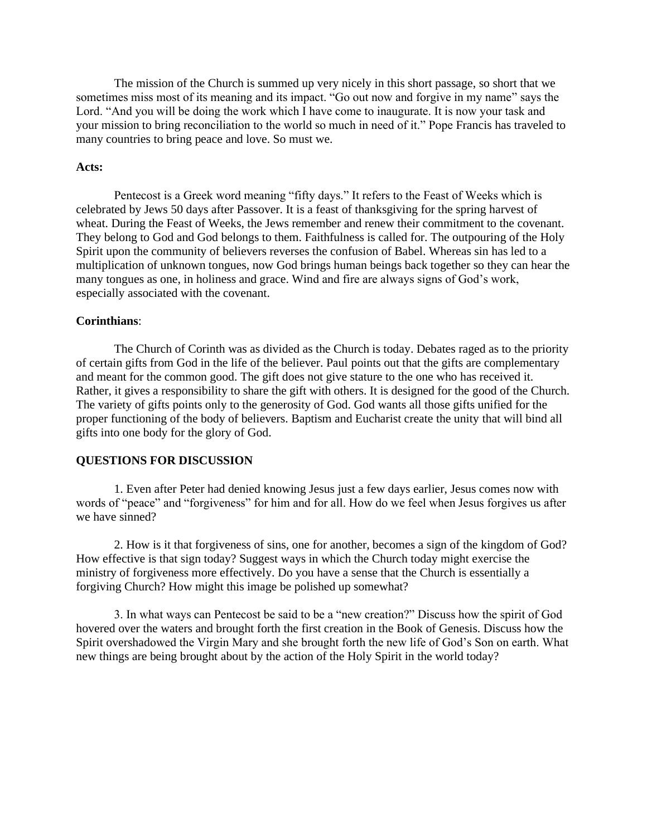The mission of the Church is summed up very nicely in this short passage, so short that we sometimes miss most of its meaning and its impact. "Go out now and forgive in my name" says the Lord. "And you will be doing the work which I have come to inaugurate. It is now your task and your mission to bring reconciliation to the world so much in need of it." Pope Francis has traveled to many countries to bring peace and love. So must we.

### **Acts:**

Pentecost is a Greek word meaning "fifty days." It refers to the Feast of Weeks which is celebrated by Jews 50 days after Passover. It is a feast of thanksgiving for the spring harvest of wheat. During the Feast of Weeks, the Jews remember and renew their commitment to the covenant. They belong to God and God belongs to them. Faithfulness is called for. The outpouring of the Holy Spirit upon the community of believers reverses the confusion of Babel. Whereas sin has led to a multiplication of unknown tongues, now God brings human beings back together so they can hear the many tongues as one, in holiness and grace. Wind and fire are always signs of God's work, especially associated with the covenant.

## **Corinthians**:

The Church of Corinth was as divided as the Church is today. Debates raged as to the priority of certain gifts from God in the life of the believer. Paul points out that the gifts are complementary and meant for the common good. The gift does not give stature to the one who has received it. Rather, it gives a responsibility to share the gift with others. It is designed for the good of the Church. The variety of gifts points only to the generosity of God. God wants all those gifts unified for the proper functioning of the body of believers. Baptism and Eucharist create the unity that will bind all gifts into one body for the glory of God.

## **QUESTIONS FOR DISCUSSION**

1. Even after Peter had denied knowing Jesus just a few days earlier, Jesus comes now with words of "peace" and "forgiveness" for him and for all. How do we feel when Jesus forgives us after we have sinned?

2. How is it that forgiveness of sins, one for another, becomes a sign of the kingdom of God? How effective is that sign today? Suggest ways in which the Church today might exercise the ministry of forgiveness more effectively. Do you have a sense that the Church is essentially a forgiving Church? How might this image be polished up somewhat?

3. In what ways can Pentecost be said to be a "new creation?" Discuss how the spirit of God hovered over the waters and brought forth the first creation in the Book of Genesis. Discuss how the Spirit overshadowed the Virgin Mary and she brought forth the new life of God's Son on earth. What new things are being brought about by the action of the Holy Spirit in the world today?